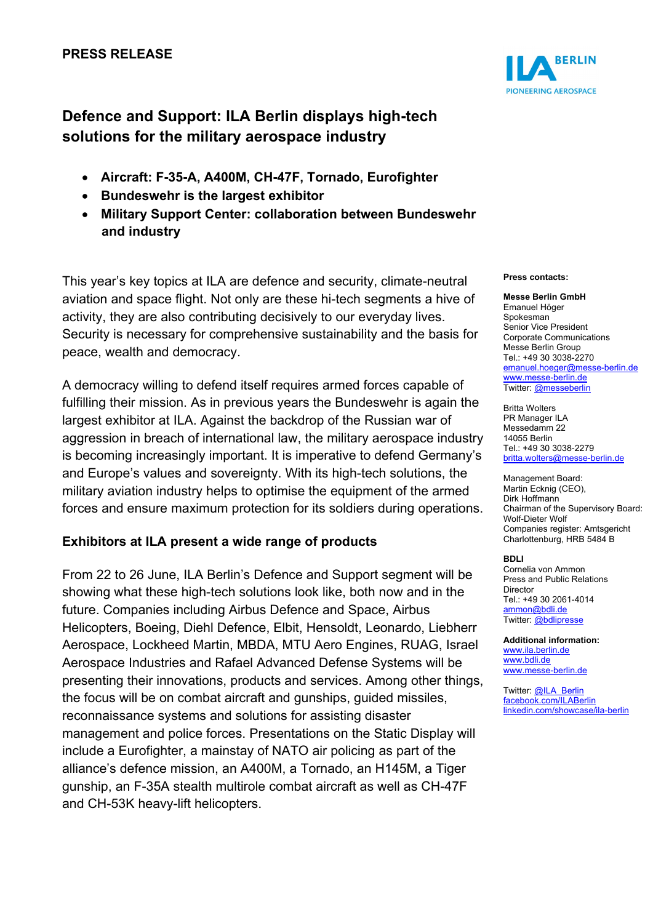

# **Defence and Support: ILA Berlin displays high-tech solutions for the military aerospace industry**

- **Aircraft: F-35-A, A400M, CH-47F, Tornado, Eurofighter**
- **Bundeswehr is the largest exhibitor**
- **Military Support Center: collaboration between Bundeswehr and industry**

This year's key topics at ILA are defence and security, climate-neutral aviation and space flight. Not only are these hi-tech segments a hive of activity, they are also contributing decisively to our everyday lives. Security is necessary for comprehensive sustainability and the basis for peace, wealth and democracy.

A democracy willing to defend itself requires armed forces capable of fulfilling their mission. As in previous years the Bundeswehr is again the largest exhibitor at ILA. Against the backdrop of the Russian war of aggression in breach of international law, the military aerospace industry is becoming increasingly important. It is imperative to defend Germany's and Europe's values and sovereignty. With its high-tech solutions, the military aviation industry helps to optimise the equipment of the armed forces and ensure maximum protection for its soldiers during operations.

## **Exhibitors at ILA present a wide range of products**

From 22 to 26 June, ILA Berlin's Defence and Support segment will be showing what these high-tech solutions look like, both now and in the future. Companies including Airbus Defence and Space, Airbus Helicopters, Boeing, Diehl Defence, Elbit, Hensoldt, Leonardo, Liebherr Aerospace, Lockheed Martin, MBDA, MTU Aero Engines, RUAG, Israel Aerospace Industries and Rafael Advanced Defense Systems will be presenting their innovations, products and services. Among other things, the focus will be on combat aircraft and gunships, guided missiles, reconnaissance systems and solutions for assisting disaster management and police forces. Presentations on the Static Display will include a Eurofighter, a mainstay of NATO air policing as part of the alliance's defence mission, an A400M, a Tornado, an H145M, a Tiger gunship, an F-35A stealth multirole combat aircraft as well as CH-47F and CH-53K heavy-lift helicopters.

### **Press contacts:**

#### **Messe Berlin GmbH**  Emanuel Höger Spokesman Senior Vice President Corporate Communications Messe Berlin Group Tel.: +49 30 3038-2270 [emanuel.hoeger@messe-berlin.de](mailto:emanuel.hoeger@messe-berlin.de) [www.messe-berlin.de](http://www.messe-berlin.de/) Twitter[: @messeberlin](https://twitter.com/messeberlin)

Britta Wolters PR Manager ILA Messedamm 22 14055 Berlin Tel.: +49 30 3038-2279 [britta.wolters@messe-berlin.de](mailto:britta.wolters@messe-berlin.de)

Management Board: Martin Ecknig (CEO), Dirk Hoffmann Chairman of the Supervisory Board: Wolf-Dieter Wolf Companies register: Amtsgericht Charlottenburg, HRB 5484 B

### **BDLI**

Cornelia von Ammon Press and Public Relations Director Tel.: +49 30 2061-4014 [ammon@bdli.de](mailto:ammon@bdli.de) Twitter[: @bdlipresse](https://twitter.com/bdlipresse?lang=de)

**Additional information:** [www.ila.berlin.de](http://www.ila.berlin.de/) [www.bdli.de](http://www.bdli.de/) [www.messe-berlin.de](http://www.messe-berlin.de/)

Twitter[: @ILA\\_Berlin](https://twitter.com/ila_berlin?lang=de) [facebook.com/ILABerlin](file:///C:%5CUsers%5CWoiton.Sandra%5CAppData%5CLocal%5CMicrosoft%5CWindows%5Cammon%5CAppData%5CLocal%5CUsers%5CFrankeC%5CAppData%5CLocal%5CMicrosoft%5CWindows%5CINetCache%5CContent.Outlook%5CAppData%5CLocal%5CMicrosoft%5CWindows%5CINetCache%5CContent.Outlook%5CAppData%5CLocal%5CMicrosoft%5CWindows%5CINetCache%5CContent.Outlook%5CNIXZO984%5Cfacebook.com%5CILABerlin%0bhttps:%5Cwww.linkedin.com%5Cshowcase%5Cila-berlin)  [linkedin.com/showcase/ila-berlin](https://www.linkedin.com/showcase/ila-berlin)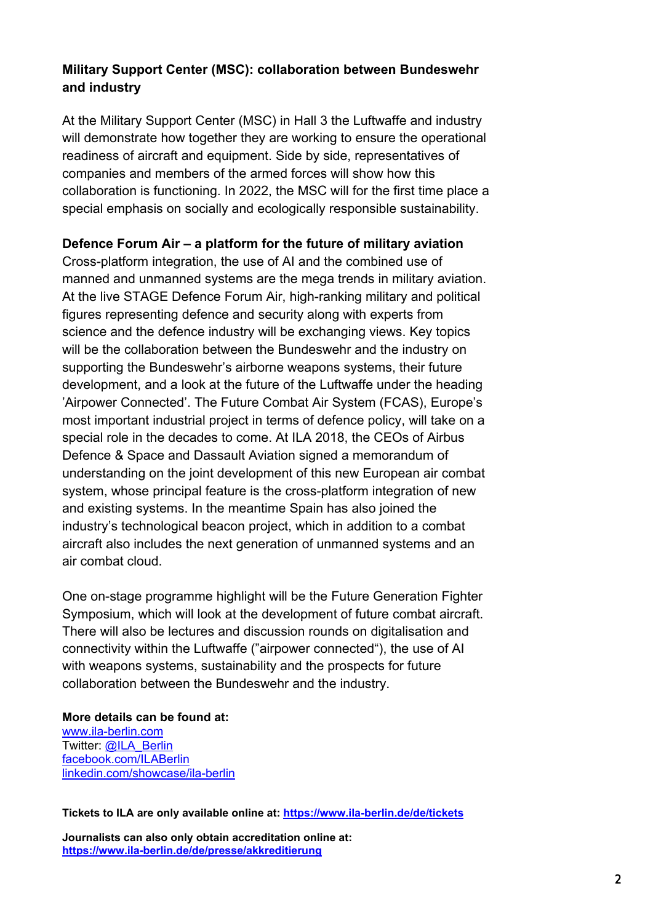## **Military Support Center (MSC): collaboration between Bundeswehr and industry**

At the Military Support Center (MSC) in Hall 3 the Luftwaffe and industry will demonstrate how together they are working to ensure the operational readiness of aircraft and equipment. Side by side, representatives of companies and members of the armed forces will show how this collaboration is functioning. In 2022, the MSC will for the first time place a special emphasis on socially and ecologically responsible sustainability.

### **Defence Forum Air – a platform for the future of military aviation**

Cross-platform integration, the use of AI and the combined use of manned and unmanned systems are the mega trends in military aviation. At the live STAGE Defence Forum Air, high-ranking military and political figures representing defence and security along with experts from science and the defence industry will be exchanging views. Key topics will be the collaboration between the Bundeswehr and the industry on supporting the Bundeswehr's airborne weapons systems, their future development, and a look at the future of the Luftwaffe under the heading 'Airpower Connected'. The Future Combat Air System (FCAS), Europe's most important industrial project in terms of defence policy, will take on a special role in the decades to come. At ILA 2018, the CEOs of Airbus Defence & Space and Dassault Aviation signed a memorandum of understanding on the joint development of this new European air combat system, whose principal feature is the cross-platform integration of new and existing systems. In the meantime Spain has also joined the industry's technological beacon project, which in addition to a combat aircraft also includes the next generation of unmanned systems and an air combat cloud.

One on-stage programme highlight will be the Future Generation Fighter Symposium, which will look at the development of future combat aircraft. There will also be lectures and discussion rounds on digitalisation and connectivity within the Luftwaffe ("airpower connected"), the use of AI with weapons systems, sustainability and the prospects for future collaboration between the Bundeswehr and the industry.

**More details can be found at:**  [www.ila-berlin.com](http://www.ila-berlin.com/) Twitter: [@ILA\\_Berlin](https://twitter.com/ila_berlin?lang=de) [facebook.com/ILABerlin](http://facebook.com/ILABerlin) [linkedin.com/showcase/ila-berlin](https://www.linkedin.com/showcase/ila-berlin)

**Tickets to ILA are only available online at:<https://www.ila-berlin.de/de/tickets>**

**Journalists can also only obtain accreditation online at: <https://www.ila-berlin.de/de/presse/akkreditierung>**